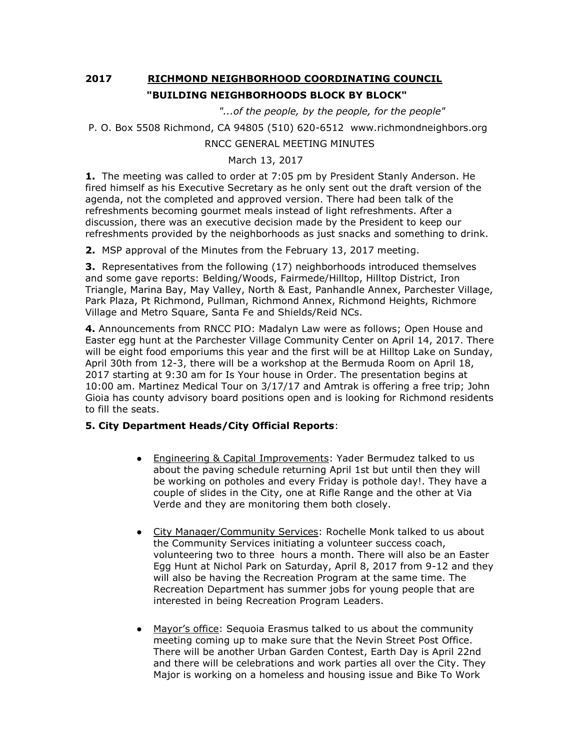## **2017 RICHMOND NEIGHBORHOOD COORDINATING COUNCIL "BUILDING NEIGHBORHOODS BLOCK BY BLOCK"**

 *"...of the people, by the people, for the people"*

```
P. O. Box 5508 Richmond, CA 94805 (510) 620-6512 www.richmondneighbors.org
```
## RNCC GENERAL MEETING MINUTES

## March 13, 2017

**1.** The meeting was called to order at 7:05 pm by President Stanly Anderson. He fired himself as his Executive Secretary as he only sent out the draft version of the agenda, not the completed and approved version. There had been talk of the refreshments becoming gourmet meals instead of light refreshments. After a discussion, there was an executive decision made by the President to keep our refreshments provided by the neighborhoods as just snacks and something to drink.

**2.** MSP approval of the Minutes from the February 13, 2017 meeting.

**3.** Representatives from the following (17) neighborhoods introduced themselves and some gave reports: Belding/Woods, Fairmede/Hilltop, Hilltop District, Iron Triangle, Marina Bay, May Valley, North & East, Panhandle Annex, Parchester Village, Park Plaza, Pt Richmond, Pullman, Richmond Annex, Richmond Heights, Richmore Village and Metro Square, Santa Fe and Shields/Reid NCs.

**4.** Announcements from RNCC PIO: Madalyn Law were as follows; Open House and Easter egg hunt at the Parchester Village Community Center on April 14, 2017. There will be eight food emporiums this year and the first will be at Hilltop Lake on Sunday, April 30th from 12-3, there will be a workshop at the Bermuda Room on April 18, 2017 starting at 9:30 am for Is Your house in Order. The presentation begins at 10:00 am. Martinez Medical Tour on 3/17/17 and Amtrak is offering a free trip; John Gioia has county advisory board positions open and is looking for Richmond residents to fill the seats.

## **5. City Department Heads/City Official Reports**:

- Engineering & Capital Improvements: Yader Bermudez talked to us about the paving schedule returning April 1st but until then they will be working on potholes and every Friday is pothole day!. They have a couple of slides in the City, one at Rifle Range and the other at Via Verde and they are monitoring them both closely.
- City Manager/Community Services: Rochelle Monk talked to us about the Community Services initiating a volunteer success coach, volunteering two to three hours a month. There will also be an Easter Egg Hunt at Nichol Park on Saturday, April 8, 2017 from 9-12 and they will also be having the Recreation Program at the same time. The Recreation Department has summer jobs for young people that are interested in being Recreation Program Leaders.
- Mayor's office: Sequoia Erasmus talked to us about the community meeting coming up to make sure that the Nevin Street Post Office. There will be another Urban Garden Contest, Earth Day is April 22nd and there will be celebrations and work parties all over the City. They Major is working on a homeless and housing issue and Bike To Work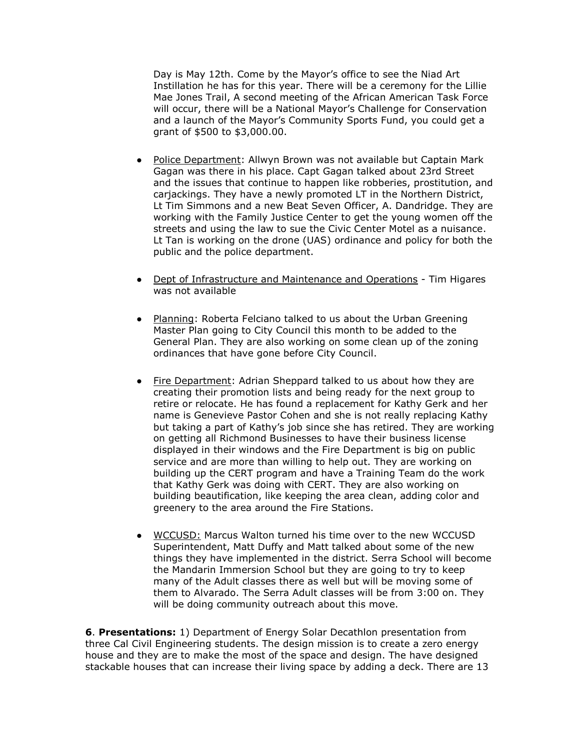Day is May 12th. Come by the Mayor's office to see the Niad Art Instillation he has for this year. There will be a ceremony for the Lillie Mae Jones Trail, A second meeting of the African American Task Force will occur, there will be a National Mayor's Challenge for Conservation and a launch of the Mayor's Community Sports Fund, you could get a grant of \$500 to \$3,000.00.

- Police Department: Allwyn Brown was not available but Captain Mark Gagan was there in his place. Capt Gagan talked about 23rd Street and the issues that continue to happen like robberies, prostitution, and carjackings. They have a newly promoted LT in the Northern District, Lt Tim Simmons and a new Beat Seven Officer, A. Dandridge. They are working with the Family Justice Center to get the young women off the streets and using the law to sue the Civic Center Motel as a nuisance. Lt Tan is working on the drone (UAS) ordinance and policy for both the public and the police department.
- Dept of Infrastructure and Maintenance and Operations Tim Higares was not available
- Planning: Roberta Felciano talked to us about the Urban Greening Master Plan going to City Council this month to be added to the General Plan. They are also working on some clean up of the zoning ordinances that have gone before City Council.
- Fire Department: Adrian Sheppard talked to us about how they are creating their promotion lists and being ready for the next group to retire or relocate. He has found a replacement for Kathy Gerk and her name is Genevieve Pastor Cohen and she is not really replacing Kathy but taking a part of Kathy's job since she has retired. They are working on getting all Richmond Businesses to have their business license displayed in their windows and the Fire Department is big on public service and are more than willing to help out. They are working on building up the CERT program and have a Training Team do the work that Kathy Gerk was doing with CERT. They are also working on building beautification, like keeping the area clean, adding color and greenery to the area around the Fire Stations.
- WCCUSD: Marcus Walton turned his time over to the new WCCUSD Superintendent, Matt Duffy and Matt talked about some of the new things they have implemented in the district. Serra School will become the Mandarin Immersion School but they are going to try to keep many of the Adult classes there as well but will be moving some of them to Alvarado. The Serra Adult classes will be from 3:00 on. They will be doing community outreach about this move.

**6**. **Presentations:** 1) Department of Energy Solar Decathlon presentation from three Cal Civil Engineering students. The design mission is to create a zero energy house and they are to make the most of the space and design. The have designed stackable houses that can increase their living space by adding a deck. There are 13